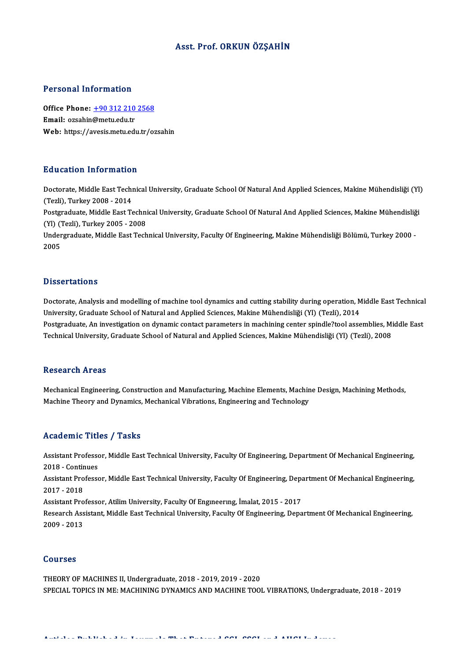### Asst. Prof. ORKUN ÖZŞAHİN

#### Personal Information

Personal Information<br>Office Phone: <u>+90 312 210 2568</u><br>Email: ersabin@matu.edu.tr office Phone: <u>+90 312 210</u><br>Email: ozsahin@metu.edu.tr<br>Web: https://avesis.metu.edu Email: ozsahin@metu.edu.tr<br>Web: https://a[vesis.metu.edu.tr/o](tel:+90 312 210 2568)zsahin

#### Education Information

Doctorate, Middle East Technical University, Graduate School Of Natural And Applied Sciences, Makine Mühendisliği (Yl) (Tezli),Turkey2008 -2014 Doctorate, Middle East Technical University, Graduate School Of Natural And Applied Sciences, Makine Mühendisliği (Yl<br>(Tezli), Turkey 2008 - 2014<br>Postgraduate, Middle East Technical University, Graduate School Of Natural A

(Tezli), Turkey 2008 - 2014<br>Postgraduate, Middle East Techni<br>(Yl) (Tezli), Turkey 2005 - 2008<br>Undergraduate Middle East Tech Postgraduate, Middle East Technical University, Graduate School Of Natural And Applied Sciences, Makine Mühendisliğ<br>(Yl) (Tezli), Turkey 2005 - 2008<br>Undergraduate, Middle East Technical University, Faculty Of Engineering,

(Yl) (Tezli), Turkey 2005 - 2008<br>Undergraduate, Middle East Technical University, Faculty Of Engineering, Makine Mühendisliği Bölümü, Turkey 2000 -<br>2005

#### **Dissertations**

Doctorate, Analysis and modelling of machine tool dynamics and cutting stability during operation, Middle East Technical University, Graduate School of Natural and Applied Sciences, Makine Mühendisliği (Yl) (Tezli), 2014 Doctorate, Analysis and modelling of machine tool dynamics and cutting stability during operation, Middle East Technical<br>University, Graduate School of Natural and Applied Sciences, Makine Mühendisliği (Yl) (Tezli), 2014<br>P University, Graduate School of Natural and Applied Sciences, Makine Mühendisliği (Yl) (Tezli), 2014<br>Postgraduate, An investigation on dynamic contact parameters in machining center spindle?tool assemblies, Mi<br>Technical Uni Technical University, Graduate School of Natural and Applied Sciences, Makine Mühendisliği (Yl) (Tezli), 2008<br>Research Areas

Research Areas<br>Mechanical Engineering, Construction and Manufacturing, Machine Elements, Machine Design, Machining Methods,<br>Machine Theory and Dynamics, Machanical Vibrations, Engineering and Technology. resear en 11 cas<br>Mechanical Engineering, Construction and Manufacturing, Machine Elements, Machin<br>Machine Theory and Dynamics, Mechanical Vibrations, Engineering and Technology Machine Theory and Dynamics, Mechanical Vibrations, Engineering and Technology<br>Academic Titles / Tasks

Academic Titles / Tasks<br>Assistant Professor, Middle East Technical University, Faculty Of Engineering, Department Of Mechanical Engineering,<br>2018 - Continues Assistant Professo<br>2018 - Continues<br>Assistant Professo Assistant Professor, Middle East Technical University, Faculty Of Engineering, Department Of Mechanical Engineering,<br>2018 - Continues<br>Assistant Professor, Middle East Technical University, Faculty Of Engineering, Departmen

2018 - Continues<br>Assistant Professor, Middle East Technical University, Faculty Of Engineering, Department Of Mechanical Engineering,<br>2017 - 2018 Assistant Professor, Middle East Technical University, Faculty Of Engineering, Depa<br>2017 - 2018<br>Assistant Professor, Atilim University, Faculty Of Engineering, İmalat, 2015 - 2017<br>Pesearsh Assistant, Middle East Technical

Research Assistant, Middle East Technical University, Faculty Of Engineering, Department Of Mechanical Engineering,<br>2009 - 2013 Assistant Pro<br>Research Ass<br>2009 - 2013

#### Courses

THEORY OF MACHINES II, Undergraduate, 2018 - 2019, 2019 - 2020 SPECIAL TOPICS IN ME: MACHINING DYNAMICS AND MACHINE TOOL VIBRATIONS, Undergraduate, 2018 - 2019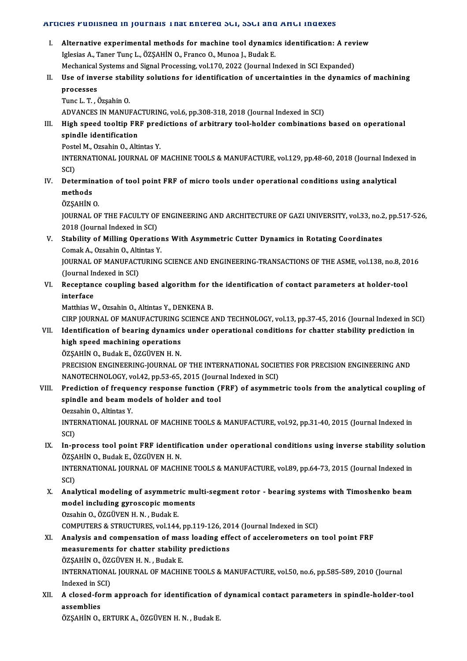#### Articles Published in Journals That Entered SCI, SSCI and AHCI Indexes

- I. Alternative experimental methods for machine tool dynamics identification: A review Iglesias A., Taner Tunç L., ÖZŞAHİN O., Franco O., Munoa J., Budak E. Mechanical Systems and Signal Processing, vol.170, 2022 (Journal Indexed in SCI Expanded) Iglesias A., Taner Tunç L., ÖZŞAHİN O., Franco O., Munoa J., Budak E.<br>Mechanical Systems and Signal Processing, vol.170, 2022 (Journal Indexed in SCI Expanded)<br>II. Use of inverse stability solutions for identification of u
- Mechanical<br>Use of inve<br>processes<br>Tune L.T. d Use of inverse stab<br>processes<br>Tunc L. T. , Özşahin O.<br>ADVANCES IN MANUL processes<br>Tunc L. T. , Özşahin O.<br>ADVANCES IN MANUFACTURING, vol.6, pp.308-318, 2018 (Journal Indexed in SCI)

Tunc L. T. , Özşahin O.<br>ADVANCES IN MANUFACTURING, vol.6, pp.308-318, 2018 (Journal Indexed in SCI)<br>III. High speed tooltip FRF predictions of arbitrary tool-holder combinations based on operational<br>Anindle identificat ADVANCES IN MANUFAC<br>High speed tooltip FR<br>spindle identification<br>Restal M. Ozsabin O. Alti High speed tooltip FRF pred<br>spindle identification<br>Postel M., Ozsahin O., Altintas Y.<br>INTERNATIONAL JOURNAL OF I

spindle identification<br>Postel M., Ozsahin O., Altintas Y.<br>INTERNATIONAL JOURNAL OF MACHINE TOOLS & MANUFACTURE, vol.129, pp.48-60, 2018 (Journal Indexed in Post<br>INTE<br>SCI)<br>Dete INTERNATIONAL JOURNAL OF MACHINE TOOLS & MANUFACTURE, vol.129, pp.48-60, 2018 (Journal Index SCI)<br>SCI)<br>IV. Determination of tool point FRF of micro tools under operational conditions using analytical<br>mathods

- SCI)<br>Determin<br>methods<br>ÖZSAHİN De<mark>termina</mark><br>methods<br>ÖZŞAHİN O.<br>JOUPNAL O! methods<br>ÖZŞAHİN O.<br>JOURNAL OF THE FACULTY OF ENGINEERING AND ARCHITECTURE OF GAZI UNIVERSITY, vol.33, no.2, pp.517-526,
	-

2018 (Journal Indexed in SCI) JOURNAL OF THE FACULTY OF ENGINEERING AND ARCHITECTURE OF GAZI UNIVERSITY, vol.33, no.2<br>2018 (Journal Indexed in SCI)<br>V. Stability of Milling Operations With Asymmetric Cutter Dynamics in Rotating Coordinates<br>Comel: A Orge

2018 (Journal Indexed in SCI)<br>Stability of Milling Operation<br>Comak A., Ozsahin O., Altintas Y.<br>JOUPNAL OF MANUEACTURING Stability of Milling Operations With Asymmetric Cutter Dynamics in Rotating Coordinates<br>Comak A., Ozsahin O., Altintas Y.<br>JOURNAL OF MANUFACTURING SCIENCE AND ENGINEERING-TRANSACTIONS OF THE ASME, vol.138, no.8, 2016<br>(Jour

Comak A., Ozsahin O., Alti<br>JOURNAL OF MANUFACT<br>(Journal Indexed in SCI)<br>Recentance counling h JOURNAL OF MANUFACTURING SCIENCE AND ENGINEERING-TRANSACTIONS OF THE ASME, vol.138, no.8, 20<br>(Journal Indexed in SCI)<br>VI. Receptance coupling based algorithm for the identification of contact parameters at holder-tool<br>inte

## (Journal In<br>Receptan<br>interface<br>Matthias M Receptance coupling based algorithm for t<br>interface<br>Matthias W., Ozsahin O., Altintas Y., DENKENA B.<br>CIPP JOUPNAL OF MANUEACTUPING SCIENGE A interface<br>Matthias W., Ozsahin O., Altintas Y., DENKENA B.<br>CIRP JOURNAL OF MANUFACTURING SCIENCE AND TECHNOLOGY, vol.13, pp.37-45, 2016 (Journal Indexed in SCI)

## Matthias W., Ozsahin O., Altintas Y., DENKENA B.<br>CIRP JOURNAL OF MANUFACTURING SCIENCE AND TECHNOLOGY, vol.13, pp.37-45, 2016 (Journal Indexed in St<br>VII. Identification of bearing dynamics under operational conditions for CIRP JOURNAL OF MANUFACTURING :<br>Identification of bearing dynamic:<br>high speed machining operations<br>ÖZSAHIN O. Budek E. ÖZCÜVEN H. N Identification of bearing dynamic:<br>high speed machining operations<br>ÖZŞAHİN O., Budak E., ÖZGÜVEN H. N.<br>PRECISION ENCINEERING JOURNAL C

high speed machining operations<br>ÖZŞAHİN O., Budak E., ÖZGÜVEN H. N.<br>PRECISION ENGINEERING-JOURNAL OF THE INTERNATIONAL SOCIETIES FOR PRECISION ENGINEERING AND<br>NANOTECHNOLOCY VR.42, PR.53, 65, 2015 (Journal Indoved in SCI) ÖZŞAHİN O., Budak E., ÖZGÜVEN H. N.<br>PRECISION ENGINEERING-JOURNAL OF THE INTERNATIONAL SOCIE<br>NANOTECHNOLOGY, vol.42, pp.53-65, 2015 (Journal Indexed in SCI)<br>Predistion of frequency response function (EBE) of sevmmet PRECISION ENGINEERING-JOURNAL OF THE INTERNATIONAL SOCIETIES FOR PRECISION ENGINEERING AND<br>NANOTECHNOLOGY, vol.42, pp.53-65, 2015 (Journal Indexed in SCI)<br>VIII. Prediction of frequency response function (FRF) of asymmetric

# NANOTECHNOLOGY, vol.42, pp.53-65, 2015 (Journ<br>Prediction of frequency response function (1<br>spindle and beam models of holder and tool<br>Oggebin O. Altintes V Prediction of freque<br>spindle and beam m<br>Oezsahin O., Altintas Y.<br>INTERNATIONAL JOUR

Oezsahin O., Altintas Y.

spindle and beam models of holder and tool<br>Oezsahin O., Altintas Y.<br>INTERNATIONAL JOURNAL OF MACHINE TOOLS & MANUFACTURE, vol.92, pp.31-40, 2015 (Journal Indexed in<br>SCI)

IX. In-process tool point FRF identification under operational conditions using inverse stability solution SCI)<br>In-process tool point FRF identifi<br>ÖZŞAHİN O., Budak E., ÖZGÜVEN H. N.<br>INTERNATIONAL JOURNAL OE MACHI

INTERNATIONAL JOURNAL OF MACHINE TOOLS & MANUFACTURE, vol.89, pp.64-73, 2015 (Journal Indexed in SCI) ÖZŞA<br>INTE<br>SCI)<br>Anal INTERNATIONAL JOURNAL OF MACHINE TOOLS & MANUFACTURE, vol.89, pp.64-73, 2015 (Journal Indexed in<br>SCI)<br>X. Analytical modeling of asymmetric multi-segment rotor - bearing systems with Timoshenko beam<br>model including gunoscop

SCI)<br>Analytical modeling of asymmetric mu<br>model including gyroscopic moments<br>Ozsabin Q ÖZCÜVEN H N - Pudak E Analytical modeling of asymmetr<br>model including gyroscopic mom<br>Ozsahin O., ÖZGÜVEN H. N. , Budak E.<br>COMBUTERS & STRUCTURES vol 144 model including gyroscopic moments<br>Ozsahin O., ÖZGÜVEN H. N. , Budak E.<br>COMPUTERS & STRUCTURES, vol.144, pp.119-126, 2014 (Journal Indexed in SCI)<br>Analysis and sempensation of mass loading effect of asselenemeters on

Ozsahin O., ÖZGÜVEN H. N. , Budak E.<br>COMPUTERS & STRUCTURES, vol.144, pp.119-126, 2014 (Journal Indexed in SCI)<br>XI. Analysis and compensation of mass loading effect of accelerometers on tool point FRF<br>measurements for chat COMPUTERS & STRUCTURES, vol.144, pp.119-126, 20<br>Analysis and compensation of mass loading efferences<br>measurements for chatter stability predictions<br>ÖZSAHIN O. ÖZCÜVENH N. Budak E ÖZŞAHİN O., ÖZGÜVEN H. N., Budak E. measurements for chatter stability predictions<br>ÖZŞAHİN O., ÖZGÜVEN H. N. , Budak E.<br>INTERNATIONAL JOURNAL OF MACHINE TOOLS & MANUFACTURE, vol.50, no.6, pp.585-589, 2010 (Journal<br>Indexed in SCD. ÖZŞAHİN O., ÖZ<br>INTERNATIONA<br>Indexed in SCI)<br>A slosed form

INTERNATIONAL JOURNAL OF MACHINE TOOLS & MANUFACTURE, vol.50, no.6, pp.585-589, 2010 (Journal<br>Indexed in SCI)<br>XII. A closed-form approach for identification of dynamical contact parameters in spindle-holder-tool<br>assemblies Indexed in St<br>A closed-fo<br>assemblies<br>ÖZSAHIN O A closed-form approach for identification of<br>assemblies<br>ÖZŞAHİN O., ERTURK A., ÖZGÜVEN H. N. , Budak E.